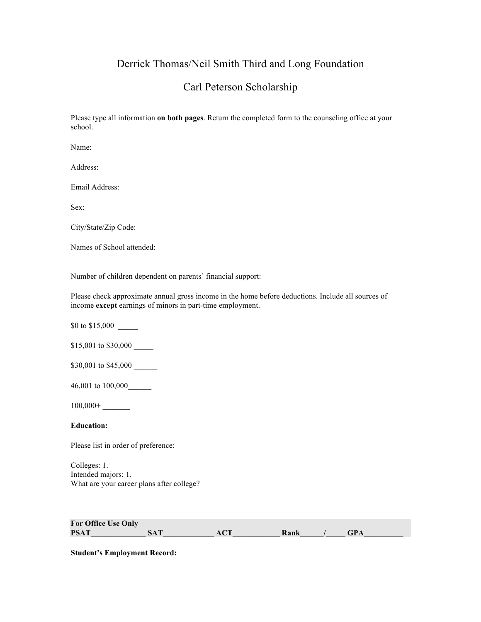# Derrick Thomas/Neil Smith Third and Long Foundation

## Carl Peterson Scholarship

Please type all information **on both pages**. Return the completed form to the counseling office at your school.

Name:

Address:

Email Address:

Sex:

City/State/Zip Code:

Names of School attended:

Number of children dependent on parents' financial support:

Please check approximate annual gross income in the home before deductions. Include all sources of income **except** earnings of minors in part-time employment.

\$0 to \$15,000 \_\_\_\_\_

\$15,001 to \$30,000 \_\_\_\_\_

\$30,001 to \$45,000 \_\_\_\_\_\_

46,001 to 100,000\_\_\_\_\_\_

 $100,000+$ 

**Education:** 

Please list in order of preference:

Colleges: 1. Intended majors: 1. What are your career plans after college?

| <b>For Office Use Only</b> |            |     |      |     |
|----------------------------|------------|-----|------|-----|
| <b>PSAT</b>                | <b>SAT</b> | ACT | Rank | GPA |

**Student's Employment Record:**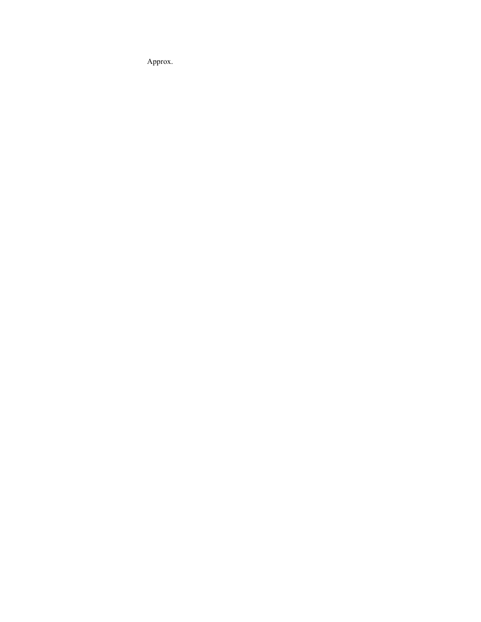Approx.